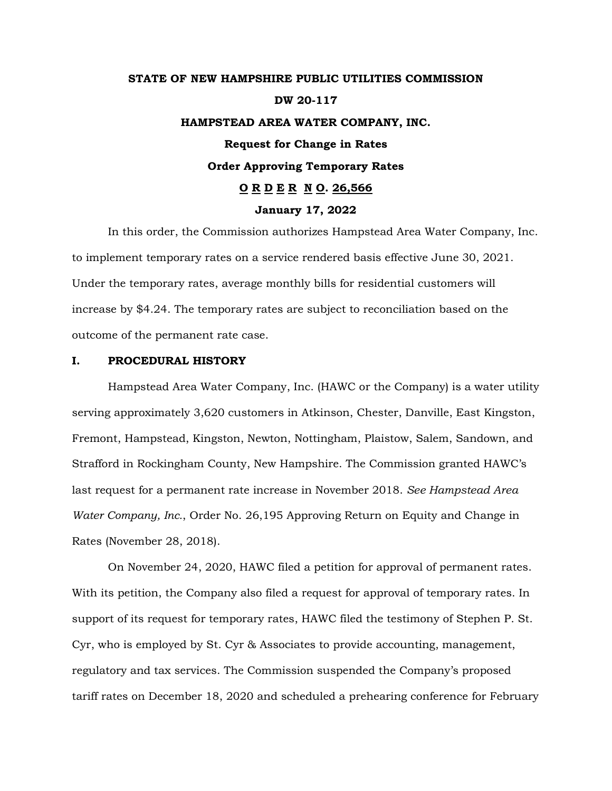# **STATE OF NEW HAMPSHIRE PUBLIC UTILITIES COMMISSION DW 20-117 HAMPSTEAD AREA WATER COMPANY, INC. Request for Change in Rates Order Approving Temporary Rates O R D E R N O. 26,566 January 17, 2022**

In this order, the Commission authorizes Hampstead Area Water Company, Inc. to implement temporary rates on a service rendered basis effective June 30, 2021. Under the temporary rates, average monthly bills for residential customers will increase by \$4.24. The temporary rates are subject to reconciliation based on the outcome of the permanent rate case.

## **I. PROCEDURAL HISTORY**

Hampstead Area Water Company, Inc. (HAWC or the Company) is a water utility serving approximately 3,620 customers in Atkinson, Chester, Danville, East Kingston, Fremont, Hampstead, Kingston, Newton, Nottingham, Plaistow, Salem, Sandown, and Strafford in Rockingham County, New Hampshire. The Commission granted HAWC's last request for a permanent rate increase in November 2018. *See Hampstead Area Water Company, Inc.*, Order No. 26,195 Approving Return on Equity and Change in Rates (November 28, 2018).

On November 24, 2020, HAWC filed a petition for approval of permanent rates. With its petition, the Company also filed a request for approval of temporary rates. In support of its request for temporary rates, HAWC filed the testimony of Stephen P. St. Cyr, who is employed by St. Cyr & Associates to provide accounting, management, regulatory and tax services. The Commission suspended the Company's proposed tariff rates on December 18, 2020 and scheduled a prehearing conference for February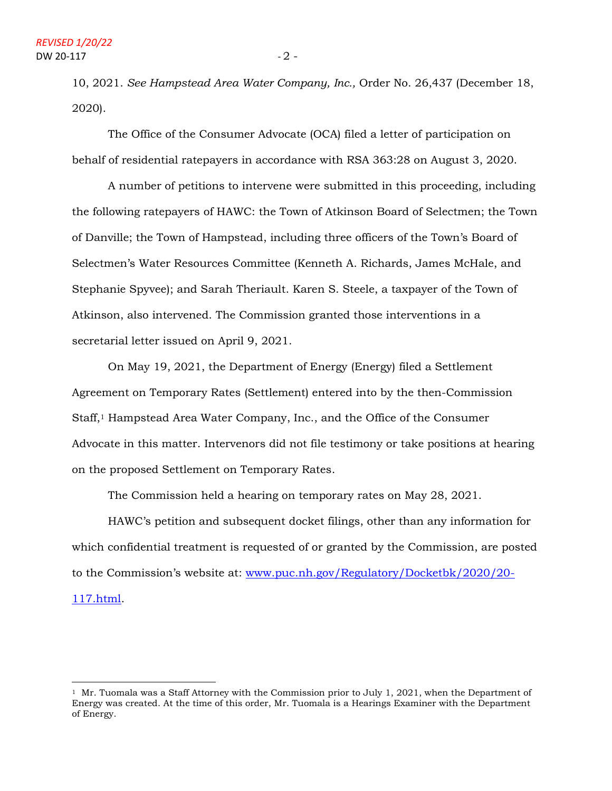10, 2021. *See Hampstead Area Water Company, Inc.,* Order No. 26,437 (December 18, 2020).

The Office of the Consumer Advocate (OCA) filed a letter of participation on behalf of residential ratepayers in accordance with RSA 363:28 on August 3, 2020.

A number of petitions to intervene were submitted in this proceeding, including the following ratepayers of HAWC: the Town of Atkinson Board of Selectmen; the Town of Danville; the Town of Hampstead, including three officers of the Town's Board of Selectmen's Water Resources Committee (Kenneth A. Richards, James McHale, and Stephanie Spyvee); and Sarah Theriault. Karen S. Steele, a taxpayer of the Town of Atkinson, also intervened. The Commission granted those interventions in a secretarial letter issued on April 9, 2021.

On May 19, 2021, the Department of Energy (Energy) filed a Settlement Agreement on Temporary Rates (Settlement) entered into by the then-Commission Staff,<sup>1</sup> Hampstead Area Water Company, Inc., and the Office of the Consumer Advocate in this matter. Intervenors did not file testimony or take positions at hearing on the proposed Settlement on Temporary Rates.

The Commission held a hearing on temporary rates on May 28, 2021.

HAWC's petition and subsequent docket filings, other than any information for which confidential treatment is requested of or granted by the Commission, are posted to the Commission's website at: [www.puc.nh.gov/Regulatory/Docketbk/2020/20-](http://www.puc.nh.gov/Regulatory/Docketbk/2020/20-117.html) [117.html.](http://www.puc.nh.gov/Regulatory/Docketbk/2020/20-117.html)

<sup>&</sup>lt;sup>1</sup> Mr. Tuomala was a Staff Attorney with the Commission prior to July 1, 2021, when the Department of Energy was created. At the time of this order, Mr. Tuomala is a Hearings Examiner with the Department of Energy.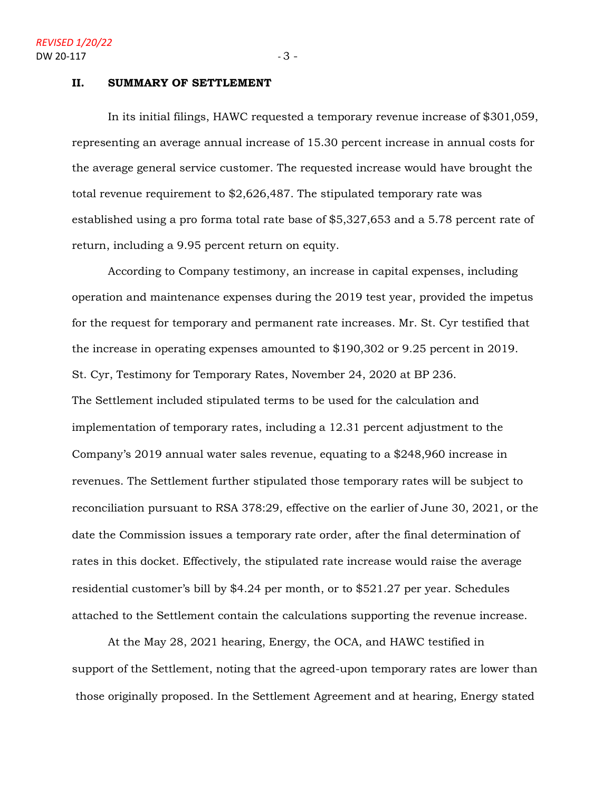#### **II. SUMMARY OF SETTLEMENT**

In its initial filings, HAWC requested a temporary revenue increase of \$301,059, representing an average annual increase of 15.30 percent increase in annual costs for the average general service customer. The requested increase would have brought the total revenue requirement to \$2,626,487. The stipulated temporary rate was established using a pro forma total rate base of \$5,327,653 and a 5.78 percent rate of return, including a 9.95 percent return on equity.

According to Company testimony, an increase in capital expenses, including operation and maintenance expenses during the 2019 test year, provided the impetus for the request for temporary and permanent rate increases. Mr. St. Cyr testified that the increase in operating expenses amounted to \$190,302 or 9.25 percent in 2019. St. Cyr, Testimony for Temporary Rates, November 24, 2020 at BP 236. The Settlement included stipulated terms to be used for the calculation and implementation of temporary rates, including a 12.31 percent adjustment to the Company's 2019 annual water sales revenue, equating to a \$248,960 increase in revenues. The Settlement further stipulated those temporary rates will be subject to reconciliation pursuant to RSA 378:29, effective on the earlier of June 30, 2021, or the date the Commission issues a temporary rate order, after the final determination of rates in this docket. Effectively, the stipulated rate increase would raise the average residential customer's bill by \$4.24 per month, or to \$521.27 per year. Schedules attached to the Settlement contain the calculations supporting the revenue increase.

At the May 28, 2021 hearing, Energy, the OCA, and HAWC testified in support of the Settlement, noting that the agreed-upon temporary rates are lower than those originally proposed. In the Settlement Agreement and at hearing, Energy stated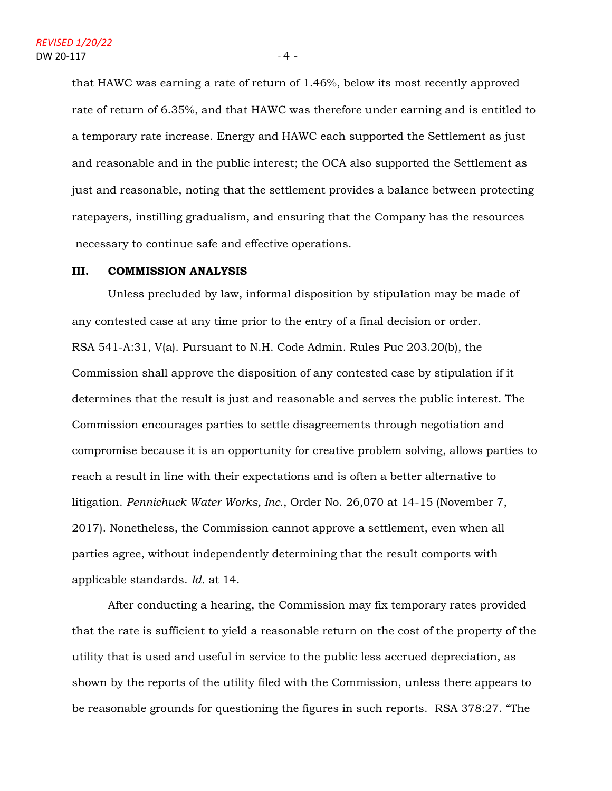that HAWC was earning a rate of return of 1.46%, below its most recently approved rate of return of 6.35%, and that HAWC was therefore under earning and is entitled to a temporary rate increase. Energy and HAWC each supported the Settlement as just and reasonable and in the public interest; the OCA also supported the Settlement as just and reasonable, noting that the settlement provides a balance between protecting ratepayers, instilling gradualism, and ensuring that the Company has the resources necessary to continue safe and effective operations.

## **III. COMMISSION ANALYSIS**

Unless precluded by law, informal disposition by stipulation may be made of any contested case at any time prior to the entry of a final decision or order. RSA 541-A:31, V(a). Pursuant to N.H. Code Admin. Rules Puc 203.20(b), the Commission shall approve the disposition of any contested case by stipulation if it determines that the result is just and reasonable and serves the public interest. The Commission encourages parties to settle disagreements through negotiation and compromise because it is an opportunity for creative problem solving, allows parties to reach a result in line with their expectations and is often a better alternative to litigation. *Pennichuck Water Works, Inc.*, Order No. 26,070 at 14-15 (November 7, 2017). Nonetheless, the Commission cannot approve a settlement, even when all parties agree, without independently determining that the result comports with applicable standards. *Id.* at 14.

After conducting a hearing, the Commission may fix temporary rates provided that the rate is sufficient to yield a reasonable return on the cost of the property of the utility that is used and useful in service to the public less accrued depreciation, as shown by the reports of the utility filed with the Commission, unless there appears to be reasonable grounds for questioning the figures in such reports. RSA 378:27. "The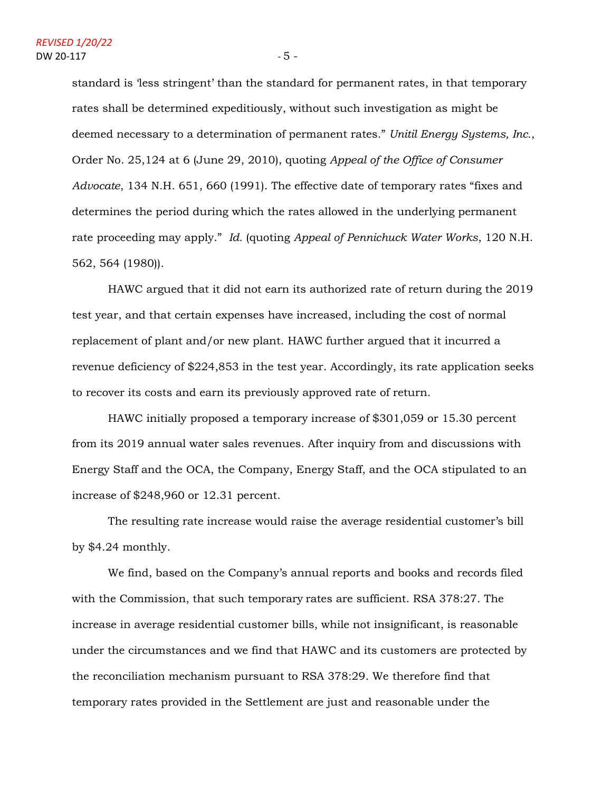standard is 'less stringent' than the standard for permanent rates, in that temporary rates shall be determined expeditiously, without such investigation as might be deemed necessary to a determination of permanent rates." *Unitil Energy Systems, Inc.*, Order No. 25,124 at 6 (June 29, 2010), quoting *Appeal of the Office of Consumer Advocate*, 134 N.H. 651, 660 (1991). The effective date of temporary rates "fixes and determines the period during which the rates allowed in the underlying permanent rate proceeding may apply." *Id.* (quoting *Appeal of Pennichuck Water Works*, 120 N.H. 562, 564 (1980)).

HAWC argued that it did not earn its authorized rate of return during the 2019 test year, and that certain expenses have increased, including the cost of normal replacement of plant and/or new plant. HAWC further argued that it incurred a revenue deficiency of \$224,853 in the test year. Accordingly, its rate application seeks to recover its costs and earn its previously approved rate of return.

HAWC initially proposed a temporary increase of \$301,059 or 15.30 percent from its 2019 annual water sales revenues. After inquiry from and discussions with Energy Staff and the OCA, the Company, Energy Staff, and the OCA stipulated to an increase of \$248,960 or 12.31 percent.

The resulting rate increase would raise the average residential customer's bill by \$4.24 monthly.

We find, based on the Company's annual reports and books and records filed with the Commission, that such temporary rates are sufficient. RSA 378:27. The increase in average residential customer bills, while not insignificant, is reasonable under the circumstances and we find that HAWC and its customers are protected by the reconciliation mechanism pursuant to RSA 378:29. We therefore find that temporary rates provided in the Settlement are just and reasonable under the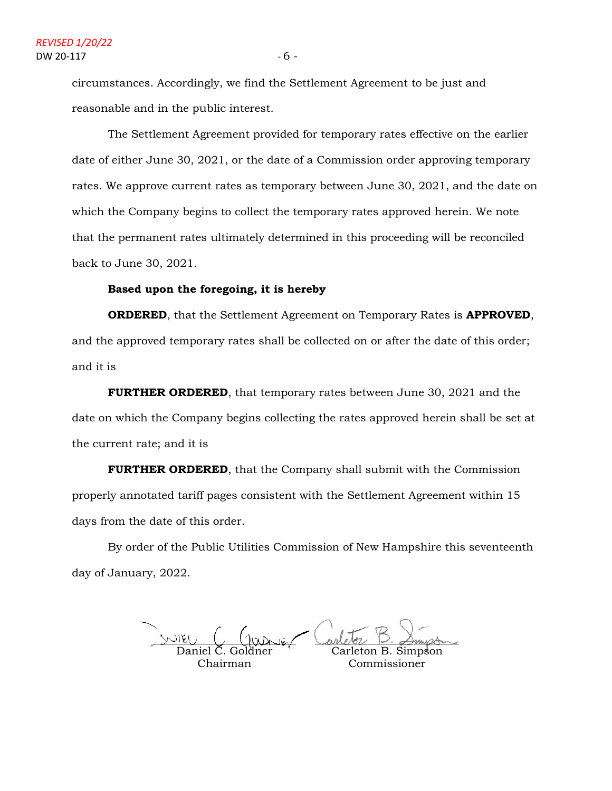circumstances. Accordingly, we find the Settlement Agreement to be just and reasonable and in the public interest.

The Settlement Agreement provided for temporary rates effective on the earlier date of either June 30, 2021, or the date of a Commission order approving temporary rates. We approve current rates as temporary between June 30, 2021, and the date on which the Company begins to collect the temporary rates approved herein. We note that the permanent rates ultimately determined in this proceeding will be reconciled back to June 30, 2021.

## **Based upon the foregoing, it is hereby**

**ORDERED**, that the Settlement Agreement on Temporary Rates is **APPROVED**, and the approved temporary rates shall be collected on or after the date of this order; and it is

**FURTHER ORDERED**, that temporary rates between June 30, 2021 and the date on which the Company begins collecting the rates approved herein shall be set at the current rate; and it is

**FURTHER ORDERED**, that the Company shall submit with the Commission properly annotated tariff pages consistent with the Settlement Agreement within 15 days from the date of this order.

By order of the Public Utilities Commission of New Hampshire this seventeenth day of January, 2022.

Daniel C. Goldner Chairman Carleton B. Simpson Commissioner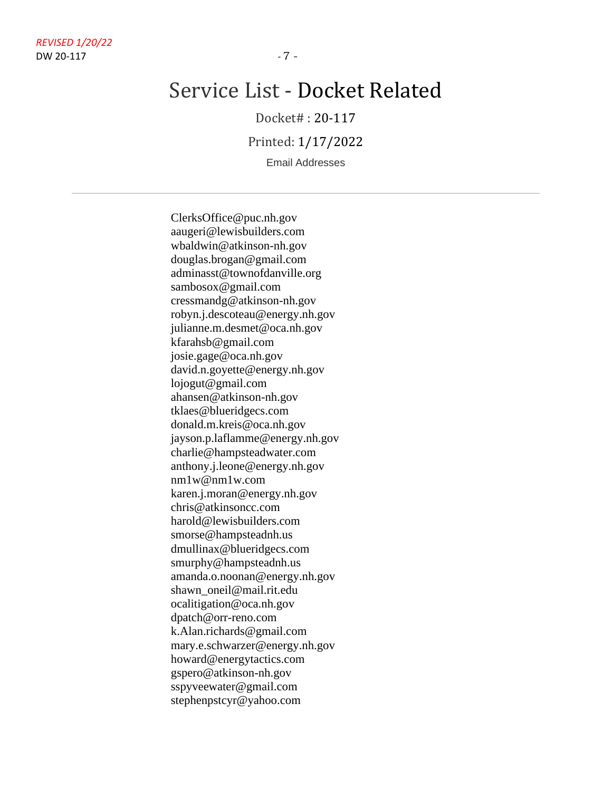Docket# : 20-117

Printed: 1/17/2022

Email Addresses

ClerksOffice@puc.nh.gov aaugeri@lewisbuilders.com wbaldwin@atkinson-nh.gov douglas.brogan@gmail.com adminasst@townofdanville.org sambosox@gmail.com cressmandg@atkinson-nh.gov robyn.j.descoteau@energy.nh.gov julianne.m.desmet@oca.nh.gov kfarahsb@gmail.com josie.gage@oca.nh.gov david.n.goyette@energy.nh.gov lojogut@gmail.com ahansen@atkinson-nh.gov tklaes@blueridgecs.com donald.m.kreis@oca.nh.gov jayson.p.laflamme@energy.nh.gov charlie@hampsteadwater.com anthony.j.leone@energy.nh.gov nm1w@nm1w.com karen.j.moran@energy.nh.gov chris@atkinsoncc.com harold@lewisbuilders.com smorse@hampsteadnh.us dmullinax@blueridgecs.com smurphy@hampsteadnh.us amanda.o.noonan@energy.nh.gov shawn\_oneil@mail.rit.edu ocalitigation@oca.nh.gov dpatch@orr-reno.com k.Alan.richards@gmail.com mary.e.schwarzer@energy.nh.gov howard@energytactics.com gspero@atkinson-nh.gov sspyveewater@gmail.com stephenpstcyr@yahoo.com